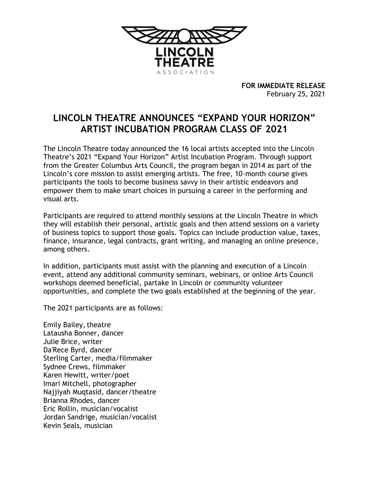

**FOR IMMEDIATE RELEASE** February 25, 2021

## **LINCOLN THEATRE ANNOUNCES "EXPAND YOUR HORIZON" ARTIST INCUBATION PROGRAM CLASS OF 2021**

The Lincoln Theatre today announced the 16 local artists accepted into the Lincoln Theatre's 2021 "Expand Your Horizon" Artist Incubation Program. Through support from the Greater Columbus Arts Council, the program began in 2014 as part of the Lincoln's core mission to assist emerging artists. The free, 10-month course gives participants the tools to become business savvy in their artistic endeavors and empower them to make smart choices in pursuing a career in the performing and visual arts.

Participants are required to attend monthly sessions at the Lincoln Theatre in which they will establish their personal, artistic goals and then attend sessions on a variety of business topics to support those goals. Topics can include production value, taxes, finance, insurance, legal contracts, grant writing, and managing an online presence, among others.

In addition, participants must assist with the planning and execution of a Lincoln event, attend any additional community seminars, webinars, or online Arts Council workshops deemed beneficial, partake in Lincoln or community volunteer opportunities, and complete the two goals established at the beginning of the year.

The 2021 participants are as follows:

Emily Bailey, theatre Latausha Bonner, dancer Julie Brice, writer Da'Rece Byrd, dancer Sterling Carter, media/filmmaker Sydnee Crews, filmmaker Karen Hewitt, writer/poet Imari Mitchell, photographer Najjiyah Muqtasid, dancer/theatre Brianna Rhodes, dancer Eric Rollin, musician/vocalist Jordan Sandrige, musician/vocalist Kevin Seals, musician